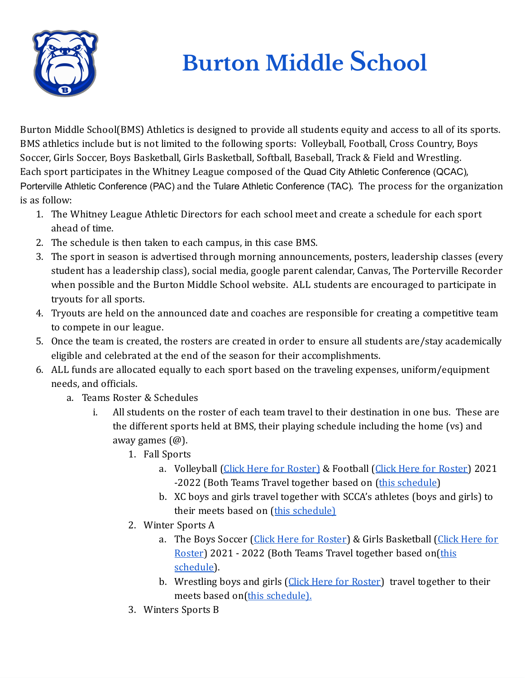

## **Burton Middle School**

Burton Middle School(BMS) Athletics is designed to provide all students equity and access to all of its sports. BMS athletics include but is not limited to the following sports: Volleyball, Football, Cross Country, Boys Soccer, Girls Soccer, Boys Basketball, Girls Basketball, Softball, Baseball, Track & Field and Wrestling. Each sport participates in the Whitney League composed of the Quad City Athletic Conference (QCAC), Porterville Athletic Conference (PAC) and the Tulare Athletic Conference (TAC). The process for the organization is as follow:

- 1. The Whitney League Athletic Directors for each school meet and create a schedule for each sport ahead of time.
- 2. The schedule is then taken to each campus, in this case BMS.
- 3. The sport in season is advertised through morning announcements, posters, leadership classes (every student has a leadership class), social media, google parent calendar, Canvas, The Porterville Recorder when possible and the Burton Middle School website. ALL students are encouraged to participate in tryouts for all sports.
- 4. Tryouts are held on the announced date and coaches are responsible for creating a competitive team to compete in our league.
- 5. Once the team is created, the rosters are created in order to ensure all students are/stay academically eligible and celebrated at the end of the season for their accomplishments.
- 6. ALL funds are allocated equally to each sport based on the traveling expenses, uniform/equipment needs, and officials.
	- a. Teams Roster & Schedules
		- i. All students on the roster of each team travel to their destination in one bus. These are the different sports held at BMS, their playing schedule including the home (vs) and away games (@).
			- 1. Fall Sports
				- a. Volleyball (Click Here for [Roster\)](https://docs.google.com/spreadsheets/d/1Et8szBNqcKJ3OmSmGXrGz2aY7zLiJKyi0Ah4T7KGcpk/edit#gid=438794382) & Football (Click Here for Roster) 2021 -2022 (Both Teams Travel together based on (this [schedule\)](https://docs.google.com/spreadsheets/d/1cNReUCPaNvA30H_oYgP1445nEumCeaHKRHZaPP-d3wU/edit#gid=904131165)
				- b. XC boys and girls travel together with SCCA's athletes (boys and girls) to their meets based on (this [schedule\)](https://docs.google.com/spreadsheets/d/1cNReUCPaNvA30H_oYgP1445nEumCeaHKRHZaPP-d3wU/edit#gid=904131165)
			- 2. Winter Sports A
				- a. The Boys Soccer (Click Here for [Roster](https://docs.google.com/spreadsheets/d/1Et8szBNqcKJ3OmSmGXrGz2aY7zLiJKyi0Ah4T7KGcpk/edit#gid=438794382)) & Girls Basketball (Click [Here](https://docs.google.com/spreadsheets/d/1Et8szBNqcKJ3OmSmGXrGz2aY7zLiJKyi0Ah4T7KGcpk/edit#gid=438794382) for [Roster\)](https://docs.google.com/spreadsheets/d/1Et8szBNqcKJ3OmSmGXrGz2aY7zLiJKyi0Ah4T7KGcpk/edit#gid=438794382) 2021 - 2022 (Both Teams Travel together based on[\(this](https://docs.google.com/spreadsheets/d/1zCZc7kmPR7VuPoGvXAgGHI28wip_KW3YBHYs8lSvkC0/edit#gid=904131165) [schedule\)](https://docs.google.com/spreadsheets/d/1zCZc7kmPR7VuPoGvXAgGHI28wip_KW3YBHYs8lSvkC0/edit#gid=904131165).
				- b. Wrestling boys and girls (Click Here for [Roster\)](https://docs.google.com/spreadsheets/d/1Et8szBNqcKJ3OmSmGXrGz2aY7zLiJKyi0Ah4T7KGcpk/edit#gid=438794382) travel together to their meets based on(this [schedule\).](https://docs.google.com/spreadsheets/d/1zCZc7kmPR7VuPoGvXAgGHI28wip_KW3YBHYs8lSvkC0/edit#gid=904131165)
			- 3. Winters Sports B